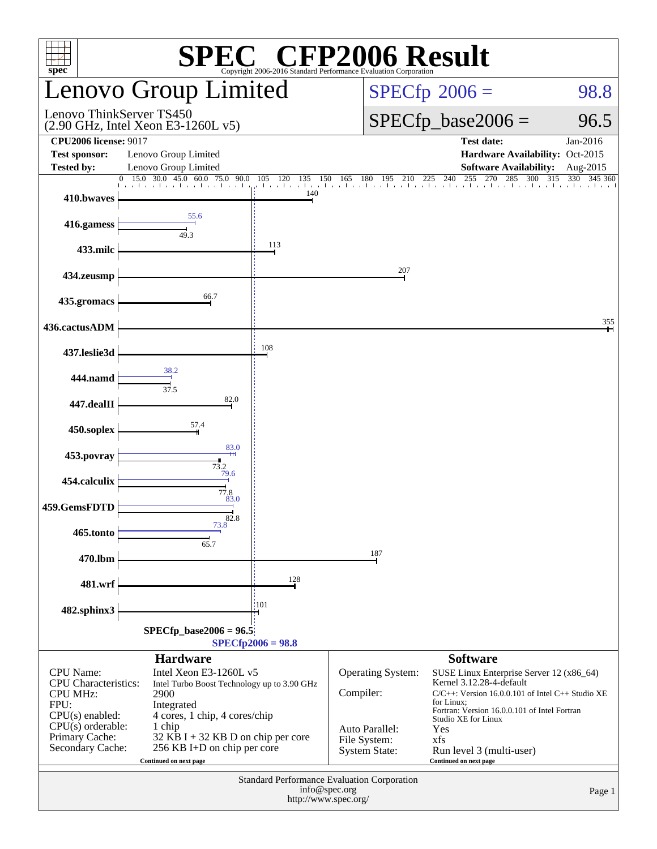| <b>SPEC<sup>®</sup></b> CFP2006 Result<br>$spec^*$<br>Convright 2006-2016 Standard Performance Evaluation Corporation                                        |                                                                                                                                                                                                                                                          |                                                                                                        |                                                                                                                                                                                                                                                                                                                                                                                                     |                                                                                                                                                                  |                       |  |  |  |
|--------------------------------------------------------------------------------------------------------------------------------------------------------------|----------------------------------------------------------------------------------------------------------------------------------------------------------------------------------------------------------------------------------------------------------|--------------------------------------------------------------------------------------------------------|-----------------------------------------------------------------------------------------------------------------------------------------------------------------------------------------------------------------------------------------------------------------------------------------------------------------------------------------------------------------------------------------------------|------------------------------------------------------------------------------------------------------------------------------------------------------------------|-----------------------|--|--|--|
|                                                                                                                                                              | Lenovo Group Limited                                                                                                                                                                                                                                     |                                                                                                        | $SPECfp^{\circ}2006 =$                                                                                                                                                                                                                                                                                                                                                                              | 98.8                                                                                                                                                             |                       |  |  |  |
| Lenovo ThinkServer TS450                                                                                                                                     | (2.90 GHz, Intel Xeon E3-1260L v5)                                                                                                                                                                                                                       |                                                                                                        |                                                                                                                                                                                                                                                                                                                                                                                                     | $SPECfp\_base2006 =$                                                                                                                                             | 96.5                  |  |  |  |
| <b>CPU2006 license: 9017</b><br><b>Test sponsor:</b><br><b>Tested by:</b>                                                                                    | Lenovo Group Limited<br>Lenovo Group Limited                                                                                                                                                                                                             |                                                                                                        |                                                                                                                                                                                                                                                                                                                                                                                                     | <b>Test date:</b><br>Hardware Availability: Oct-2015<br><b>Software Availability:</b>                                                                            | Jan-2016<br>Aug-2015  |  |  |  |
| $\overline{0}$<br>410.bwaves                                                                                                                                 | $15.0$ 30.0 45.0 60.0<br>75.0 90.0<br>1 1 1 1 1 1 1                                                                                                                                                                                                      | 120<br>105<br>135<br>150<br>the contractor of the<br>$\mathbf{1}$ , $\mathbf{1}$ , $\mathbf{1}$<br>140 |                                                                                                                                                                                                                                                                                                                                                                                                     | $\frac{150}{15}$ $\frac{165}{180}$ $\frac{195}{195}$ $\frac{210}{225}$ $\frac{225}{240}$ $\frac{255}{255}$ $\frac{270}{270}$ $\frac{285}{285}$ $\frac{300}{315}$ | 315<br>330<br>345 360 |  |  |  |
| 416.gamess                                                                                                                                                   | 55.6<br>49.3                                                                                                                                                                                                                                             |                                                                                                        |                                                                                                                                                                                                                                                                                                                                                                                                     |                                                                                                                                                                  |                       |  |  |  |
| 433.milc                                                                                                                                                     |                                                                                                                                                                                                                                                          | 113                                                                                                    |                                                                                                                                                                                                                                                                                                                                                                                                     |                                                                                                                                                                  |                       |  |  |  |
| 434.zeusmp                                                                                                                                                   |                                                                                                                                                                                                                                                          |                                                                                                        | 207                                                                                                                                                                                                                                                                                                                                                                                                 |                                                                                                                                                                  |                       |  |  |  |
| 435.gromacs                                                                                                                                                  | 66.7                                                                                                                                                                                                                                                     |                                                                                                        |                                                                                                                                                                                                                                                                                                                                                                                                     |                                                                                                                                                                  |                       |  |  |  |
| 436.cactusADM                                                                                                                                                |                                                                                                                                                                                                                                                          | 108                                                                                                    |                                                                                                                                                                                                                                                                                                                                                                                                     |                                                                                                                                                                  | 355                   |  |  |  |
| 437.leslie3d                                                                                                                                                 | 38.2                                                                                                                                                                                                                                                     |                                                                                                        |                                                                                                                                                                                                                                                                                                                                                                                                     |                                                                                                                                                                  |                       |  |  |  |
| 444.namd                                                                                                                                                     | 37.5<br>82.0                                                                                                                                                                                                                                             |                                                                                                        |                                                                                                                                                                                                                                                                                                                                                                                                     |                                                                                                                                                                  |                       |  |  |  |
| 447.dealII<br>450.soplex                                                                                                                                     | 57.4                                                                                                                                                                                                                                                     |                                                                                                        |                                                                                                                                                                                                                                                                                                                                                                                                     |                                                                                                                                                                  |                       |  |  |  |
| 453.povray                                                                                                                                                   | 83.0                                                                                                                                                                                                                                                     |                                                                                                        |                                                                                                                                                                                                                                                                                                                                                                                                     |                                                                                                                                                                  |                       |  |  |  |
| 454.calculix                                                                                                                                                 | $73.2$<br>$79.6$                                                                                                                                                                                                                                         |                                                                                                        |                                                                                                                                                                                                                                                                                                                                                                                                     |                                                                                                                                                                  |                       |  |  |  |
| 459.GemsFDTD                                                                                                                                                 | 77.8<br>83.0                                                                                                                                                                                                                                             |                                                                                                        |                                                                                                                                                                                                                                                                                                                                                                                                     |                                                                                                                                                                  |                       |  |  |  |
| 465.tonto                                                                                                                                                    | $\overrightarrow{82.8}$                                                                                                                                                                                                                                  |                                                                                                        |                                                                                                                                                                                                                                                                                                                                                                                                     |                                                                                                                                                                  |                       |  |  |  |
| 470.lbm                                                                                                                                                      | 65.7                                                                                                                                                                                                                                                     |                                                                                                        | 187                                                                                                                                                                                                                                                                                                                                                                                                 |                                                                                                                                                                  |                       |  |  |  |
| 481.wrf                                                                                                                                                      |                                                                                                                                                                                                                                                          | 128                                                                                                    |                                                                                                                                                                                                                                                                                                                                                                                                     |                                                                                                                                                                  |                       |  |  |  |
| 482.sphinx3                                                                                                                                                  |                                                                                                                                                                                                                                                          | 101                                                                                                    |                                                                                                                                                                                                                                                                                                                                                                                                     |                                                                                                                                                                  |                       |  |  |  |
| $SPECfp\_base2006 = 96.5$<br>$SPECfp2006 = 98.8$                                                                                                             |                                                                                                                                                                                                                                                          |                                                                                                        |                                                                                                                                                                                                                                                                                                                                                                                                     |                                                                                                                                                                  |                       |  |  |  |
| <b>CPU</b> Name:<br><b>CPU</b> Characteristics:<br><b>CPU MHz:</b><br>FPU:<br>$CPU(s)$ enabled:<br>$CPU(s)$ orderable:<br>Primary Cache:<br>Secondary Cache: | <b>Hardware</b><br>Intel Xeon E3-1260L v5<br>Intel Turbo Boost Technology up to 3.90 GHz<br>2900<br>Integrated<br>4 cores, 1 chip, 4 cores/chip<br>1 chip<br>32 KB I + 32 KB D on chip per core<br>256 KB I+D on chip per core<br>Continued on next page |                                                                                                        | <b>Software</b><br>Operating System:<br>SUSE Linux Enterprise Server 12 (x86_64)<br>Kernel 3.12.28-4-default<br>Compiler:<br>$C/C++$ : Version 16.0.0.101 of Intel C++ Studio XE<br>for Linux;<br>Fortran: Version 16.0.0.101 of Intel Fortran<br>Studio XE for Linux<br>Auto Parallel:<br>Yes<br>File System:<br>xfs<br><b>System State:</b><br>Run level 3 (multi-user)<br>Continued on next page |                                                                                                                                                                  |                       |  |  |  |
| Standard Performance Evaluation Corporation<br>info@spec.org<br>Page 1<br>http://www.spec.org/                                                               |                                                                                                                                                                                                                                                          |                                                                                                        |                                                                                                                                                                                                                                                                                                                                                                                                     |                                                                                                                                                                  |                       |  |  |  |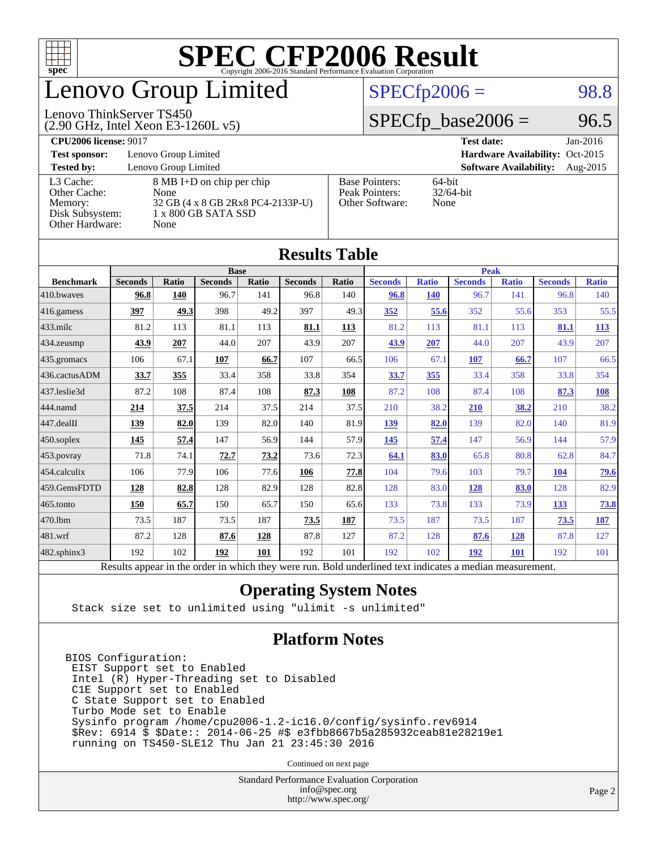

# enovo Group Limited

#### Lenovo ThinkServer TS450

(2.90 GHz, Intel Xeon E3-1260L v5)

 $SPECTp2006 = 98.8$ 

### $SPECTp\_base2006 = 96.5$

#### **[CPU2006 license:](http://www.spec.org/auto/cpu2006/Docs/result-fields.html#CPU2006license)** 9017 **[Test date:](http://www.spec.org/auto/cpu2006/Docs/result-fields.html#Testdate)** Jan-2016 **[Test sponsor:](http://www.spec.org/auto/cpu2006/Docs/result-fields.html#Testsponsor)** Lenovo Group Limited **[Hardware Availability:](http://www.spec.org/auto/cpu2006/Docs/result-fields.html#HardwareAvailability)** Oct-2015 **[Tested by:](http://www.spec.org/auto/cpu2006/Docs/result-fields.html#Testedby)** Lenovo Group Limited **[Software Availability:](http://www.spec.org/auto/cpu2006/Docs/result-fields.html#SoftwareAvailability)** Aug-2015 [L3 Cache:](http://www.spec.org/auto/cpu2006/Docs/result-fields.html#L3Cache) 8 MB I+D on chip per chip<br>Other Cache: None [Other Cache:](http://www.spec.org/auto/cpu2006/Docs/result-fields.html#OtherCache) [Memory:](http://www.spec.org/auto/cpu2006/Docs/result-fields.html#Memory) 32 GB (4 x 8 GB 2Rx8 PC4-2133P-U) [Disk Subsystem:](http://www.spec.org/auto/cpu2006/Docs/result-fields.html#DiskSubsystem) 1 x 800 GB SATA SSD [Other Hardware:](http://www.spec.org/auto/cpu2006/Docs/result-fields.html#OtherHardware) None [Base Pointers:](http://www.spec.org/auto/cpu2006/Docs/result-fields.html#BasePointers) 64-bit<br>Peak Pointers: 32/64-bit [Peak Pointers:](http://www.spec.org/auto/cpu2006/Docs/result-fields.html#PeakPointers) [Other Software:](http://www.spec.org/auto/cpu2006/Docs/result-fields.html#OtherSoftware) None

| <b>Results Table</b>   |                                                                                                          |       |                |       |                |             |                |              |                |              |                |              |
|------------------------|----------------------------------------------------------------------------------------------------------|-------|----------------|-------|----------------|-------------|----------------|--------------|----------------|--------------|----------------|--------------|
|                        | <b>Base</b>                                                                                              |       |                |       |                | <b>Peak</b> |                |              |                |              |                |              |
| <b>Benchmark</b>       | <b>Seconds</b>                                                                                           | Ratio | <b>Seconds</b> | Ratio | <b>Seconds</b> | Ratio       | <b>Seconds</b> | <b>Ratio</b> | <b>Seconds</b> | <b>Ratio</b> | <b>Seconds</b> | <b>Ratio</b> |
| 410.bwayes             | 96.8                                                                                                     | 140   | 96.7           | 141   | 96.8           | 140         | 96.8           | <b>140</b>   | 96.7           | 141          | 96.8           | 140          |
| $416$ .gamess          | 397                                                                                                      | 49.3  | 398            | 49.2  | 397            | 49.3        | 352            | 55.6         | 352            | 55.6         | 353            | 55.5         |
| $433$ .milc            | 81.2                                                                                                     | 113   | 81.1           | 113   | 81.1           | 113         | 81.2           | 113          | 81.1           | 113          | 81.1           | 113          |
| $434$ . zeusmp         | 43.9                                                                                                     | 207   | 44.0           | 207   | 43.9           | 207         | 43.9           | 207          | 44.0           | 207          | 43.9           | 207          |
| $435.$ gromacs         | 106                                                                                                      | 67.1  | 107            | 66.7  | 107            | 66.5        | 106            | 67.1         | 107            | 66.7         | 107            | 66.5         |
| 436.cactusADM          | 33.7                                                                                                     | 355   | 33.4           | 358   | 33.8           | 354         | 33.7           | 355          | 33.4           | 358          | 33.8           | 354          |
| 437.leslie3d           | 87.2                                                                                                     | 108   | 87.4           | 108   | 87.3           | 108         | 87.2           | 108          | 87.4           | 108          | 87.3           | <u>108</u>   |
| 444.namd               | 214                                                                                                      | 37.5  | 214            | 37.5  | 214            | 37.5        | 210            | 38.2         | 210            | 38.2         | 210            | 38.2         |
| $ 447 \text{.}$ dealII | 139                                                                                                      | 82.0  | 139            | 82.0  | 140            | 81.9        | 139            | 82.0         | 139            | 82.0         | 140            | 81.9         |
| $450$ .soplex          | 145                                                                                                      | 57.4  | 147            | 56.9  | 144            | 57.9        | 145            | 57.4         | 147            | 56.9         | 144            | 57.9         |
| $453$ .povray          | 71.8                                                                                                     | 74.1  | 72.7           | 73.2  | 73.6           | 72.3        | 64.1           | 83.0         | 65.8           | 80.8         | 62.8           | 84.7         |
| $ 454$ .calculix       | 106                                                                                                      | 77.9  | 106            | 77.6  | 106            | 77.8        | 104            | 79.6         | 103            | 79.7         | 104            | <u>79.6</u>  |
| 459.GemsFDTD           | 128                                                                                                      | 82.8  | 128            | 82.9  | 128            | 82.8        | 128            | 83.0         | 128            | 83.0         | 128            | 82.9         |
| $465$ .tonto           | 150                                                                                                      | 65.7  | 150            | 65.7  | 150            | 65.6        | 133            | 73.8         | 133            | 73.9         | 133            | <b>73.8</b>  |
| 470.1bm                | 73.5                                                                                                     | 187   | 73.5           | 187   | 73.5           | 187         | 73.5           | 187          | 73.5           | 187          | 73.5           | <u>187</u>   |
| $ 481$ .wrf            | 87.2                                                                                                     | 128   | 87.6           | 128   | 87.8           | 127         | 87.2           | 128          | 87.6           | 128          | 87.8           | 127          |
| $482$ .sphinx $3$      | 192                                                                                                      | 102   | 192            | 101   | 192            | 101         | 192            | 102          | 192            | 101          | 192            | 101          |
|                        | Results appear in the order in which they were run. Bold underlined text indicates a median measurement. |       |                |       |                |             |                |              |                |              |                |              |

### **[Operating System Notes](http://www.spec.org/auto/cpu2006/Docs/result-fields.html#OperatingSystemNotes)**

Stack size set to unlimited using "ulimit -s unlimited"

### **[Platform Notes](http://www.spec.org/auto/cpu2006/Docs/result-fields.html#PlatformNotes)**

BIOS Configuration: EIST Support set to Enabled Intel (R) Hyper-Threading set to Disabled C1E Support set to Enabled C State Support set to Enabled Turbo Mode set to Enable Sysinfo program /home/cpu2006-1.2-ic16.0/config/sysinfo.rev6914 \$Rev: 6914 \$ \$Date:: 2014-06-25 #\$ e3fbb8667b5a285932ceab81e28219e1 running on TS450-SLE12 Thu Jan 21 23:45:30 2016

Continued on next page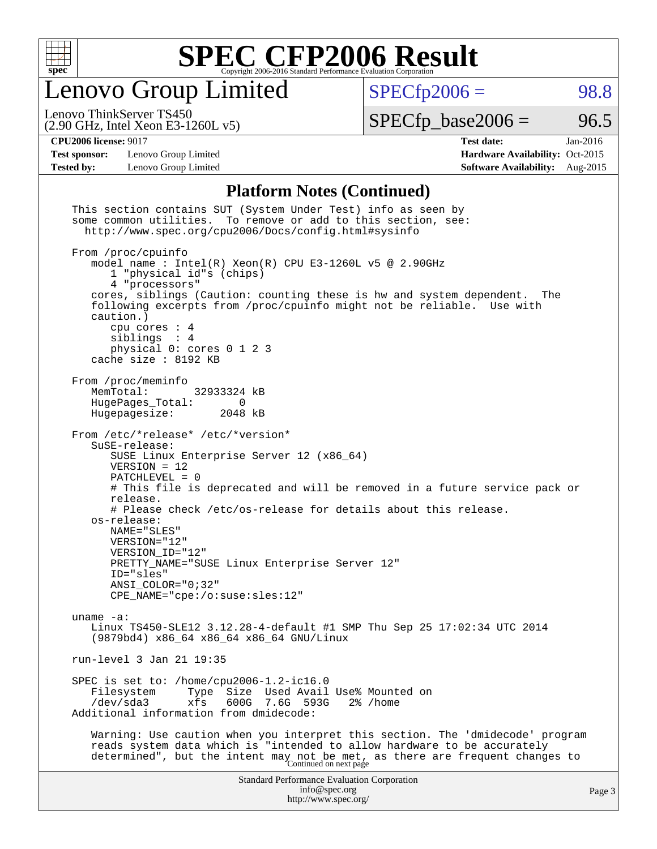

Lenovo Group Limited

 $SPECfp2006 = 98.8$  $SPECfp2006 = 98.8$ 

(2.90 GHz, Intel Xeon E3-1260L v5) Lenovo ThinkServer TS450

 $SPECTp\_base2006 = 96.5$ 

**[Test sponsor:](http://www.spec.org/auto/cpu2006/Docs/result-fields.html#Testsponsor)** Lenovo Group Limited **[Hardware Availability:](http://www.spec.org/auto/cpu2006/Docs/result-fields.html#HardwareAvailability)** Oct-2015

**[CPU2006 license:](http://www.spec.org/auto/cpu2006/Docs/result-fields.html#CPU2006license)** 9017 **[Test date:](http://www.spec.org/auto/cpu2006/Docs/result-fields.html#Testdate)** Jan-2016 **[Tested by:](http://www.spec.org/auto/cpu2006/Docs/result-fields.html#Testedby)** Lenovo Group Limited **[Software Availability:](http://www.spec.org/auto/cpu2006/Docs/result-fields.html#SoftwareAvailability)** Aug-2015

### **[Platform Notes \(Continued\)](http://www.spec.org/auto/cpu2006/Docs/result-fields.html#PlatformNotes)**

| This section contains SUT (System Under Test) info as seen by<br>some common utilities. To remove or add to this section, see:<br>http://www.spec.org/cpu2006/Docs/config.html#sysinfo                                                                                                                                                                                                                                                                                                           |        |
|--------------------------------------------------------------------------------------------------------------------------------------------------------------------------------------------------------------------------------------------------------------------------------------------------------------------------------------------------------------------------------------------------------------------------------------------------------------------------------------------------|--------|
| From /proc/cpuinfo<br>model name : Intel(R) Xeon(R) CPU E3-1260L v5 @ 2.90GHz<br>1 "physical id"s (chips)<br>4 "processors"<br>cores, siblings (Caution: counting these is hw and system dependent.<br>The<br>following excerpts from /proc/cpuinfo might not be reliable. Use with<br>caution.)<br>cpu cores : 4<br>siblings : 4<br>physical 0: cores 0 1 2 3<br>cache size : 8192 KB                                                                                                           |        |
| From /proc/meminfo<br>MemTotal:<br>32933324 kB<br>HugePages_Total:<br>$\Omega$<br>Hugepagesize:<br>2048 kB                                                                                                                                                                                                                                                                                                                                                                                       |        |
| From /etc/*release* /etc/*version*<br>SuSE-release:<br>SUSE Linux Enterprise Server 12 (x86_64)<br>$VERSION = 12$<br>PATCHLEVEL = 0<br># This file is deprecated and will be removed in a future service pack or<br>release.<br># Please check /etc/os-release for details about this release.<br>os-release:<br>NAME="SLES"<br>VERSION="12"<br>VERSION_ID="12"<br>PRETTY_NAME="SUSE Linux Enterprise Server 12"<br>ID="sles"<br>$ANSI$ _COLOR=" $0:32$ "<br>$CPE\_NAME='cpe://o:suse: sles:12"$ |        |
| uname $-a$ :<br>Linux TS450-SLE12 3.12.28-4-default #1 SMP Thu Sep 25 17:02:34 UTC 2014<br>(9879bd4) x86_64 x86_64 x86_64 GNU/Linux                                                                                                                                                                                                                                                                                                                                                              |        |
| run-level 3 Jan 21 19:35                                                                                                                                                                                                                                                                                                                                                                                                                                                                         |        |
| SPEC is set to: /home/cpu2006-1.2-ic16.0<br>Size Used Avail Use% Mounted on<br>Filesystem<br>Type<br>600G<br>$/\text{dev/sda}$ 3<br>xfs<br>7.6G<br>593G<br>2% /home<br>Additional information from dmidecode:                                                                                                                                                                                                                                                                                    |        |
| Warning: Use caution when you interpret this section. The 'dmidecode' program<br>reads system data which is "intended to allow hardware to be accurately<br>determined", but the intent may not be met, as there are frequent changes to<br>Continued on next page                                                                                                                                                                                                                               |        |
| <b>Standard Performance Evaluation Corporation</b><br>info@spec.org<br>http://www.spec.org/                                                                                                                                                                                                                                                                                                                                                                                                      | Page 3 |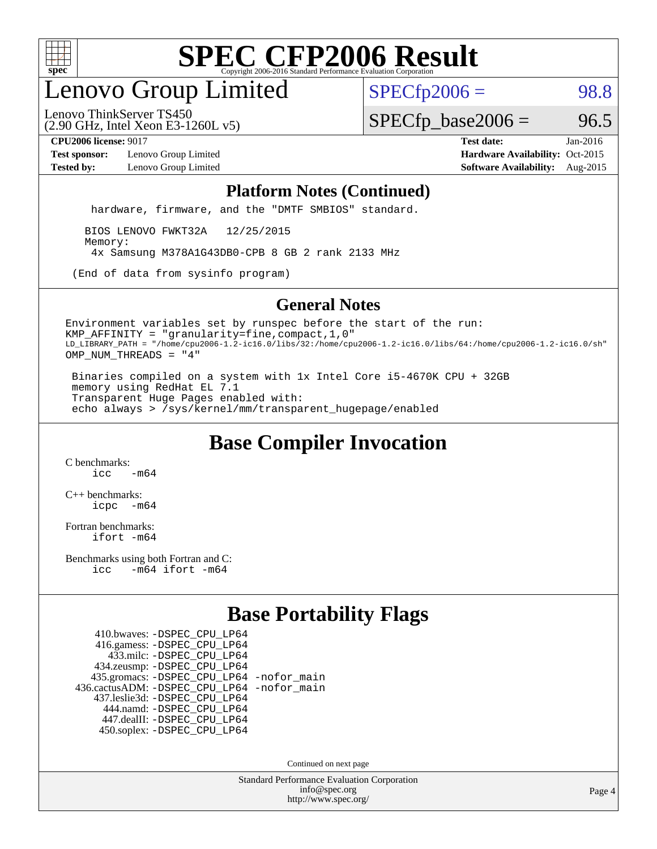

# enovo Group Limited

 $SPECTp2006 = 98.8$ 

(2.90 GHz, Intel Xeon E3-1260L v5) Lenovo ThinkServer TS450

 $SPECTp\_base2006 = 96.5$ 

**[Test sponsor:](http://www.spec.org/auto/cpu2006/Docs/result-fields.html#Testsponsor)** Lenovo Group Limited **[Hardware Availability:](http://www.spec.org/auto/cpu2006/Docs/result-fields.html#HardwareAvailability)** Oct-2015

**[CPU2006 license:](http://www.spec.org/auto/cpu2006/Docs/result-fields.html#CPU2006license)** 9017 **[Test date:](http://www.spec.org/auto/cpu2006/Docs/result-fields.html#Testdate)** Jan-2016 **[Tested by:](http://www.spec.org/auto/cpu2006/Docs/result-fields.html#Testedby)** Lenovo Group Limited **[Software Availability:](http://www.spec.org/auto/cpu2006/Docs/result-fields.html#SoftwareAvailability)** Aug-2015

#### **[Platform Notes \(Continued\)](http://www.spec.org/auto/cpu2006/Docs/result-fields.html#PlatformNotes)**

hardware, firmware, and the "DMTF SMBIOS" standard.

 BIOS LENOVO FWKT32A 12/25/2015 Memory: 4x Samsung M378A1G43DB0-CPB 8 GB 2 rank 2133 MHz

(End of data from sysinfo program)

### **[General Notes](http://www.spec.org/auto/cpu2006/Docs/result-fields.html#GeneralNotes)**

Environment variables set by runspec before the start of the run: KMP\_AFFINITY = "granularity=fine,compact,1,0" LD\_LIBRARY\_PATH = "/home/cpu2006-1.2-ic16.0/libs/32:/home/cpu2006-1.2-ic16.0/libs/64:/home/cpu2006-1.2-ic16.0/sh" OMP\_NUM\_THREADS = "4"

 Binaries compiled on a system with 1x Intel Core i5-4670K CPU + 32GB memory using RedHat EL 7.1 Transparent Huge Pages enabled with: echo always > /sys/kernel/mm/transparent\_hugepage/enabled

## **[Base Compiler Invocation](http://www.spec.org/auto/cpu2006/Docs/result-fields.html#BaseCompilerInvocation)**

[C benchmarks](http://www.spec.org/auto/cpu2006/Docs/result-fields.html#Cbenchmarks):  $icc$   $-m64$ 

[C++ benchmarks:](http://www.spec.org/auto/cpu2006/Docs/result-fields.html#CXXbenchmarks) [icpc -m64](http://www.spec.org/cpu2006/results/res2016q1/cpu2006-20160125-38891.flags.html#user_CXXbase_intel_icpc_64bit_bedb90c1146cab66620883ef4f41a67e)

[Fortran benchmarks](http://www.spec.org/auto/cpu2006/Docs/result-fields.html#Fortranbenchmarks): [ifort -m64](http://www.spec.org/cpu2006/results/res2016q1/cpu2006-20160125-38891.flags.html#user_FCbase_intel_ifort_64bit_ee9d0fb25645d0210d97eb0527dcc06e)

[Benchmarks using both Fortran and C](http://www.spec.org/auto/cpu2006/Docs/result-fields.html#BenchmarksusingbothFortranandC): [icc -m64](http://www.spec.org/cpu2006/results/res2016q1/cpu2006-20160125-38891.flags.html#user_CC_FCbase_intel_icc_64bit_0b7121f5ab7cfabee23d88897260401c) [ifort -m64](http://www.spec.org/cpu2006/results/res2016q1/cpu2006-20160125-38891.flags.html#user_CC_FCbase_intel_ifort_64bit_ee9d0fb25645d0210d97eb0527dcc06e)

## **[Base Portability Flags](http://www.spec.org/auto/cpu2006/Docs/result-fields.html#BasePortabilityFlags)**

 410.bwaves: [-DSPEC\\_CPU\\_LP64](http://www.spec.org/cpu2006/results/res2016q1/cpu2006-20160125-38891.flags.html#suite_basePORTABILITY410_bwaves_DSPEC_CPU_LP64) 416.gamess: [-DSPEC\\_CPU\\_LP64](http://www.spec.org/cpu2006/results/res2016q1/cpu2006-20160125-38891.flags.html#suite_basePORTABILITY416_gamess_DSPEC_CPU_LP64) 433.milc: [-DSPEC\\_CPU\\_LP64](http://www.spec.org/cpu2006/results/res2016q1/cpu2006-20160125-38891.flags.html#suite_basePORTABILITY433_milc_DSPEC_CPU_LP64) 434.zeusmp: [-DSPEC\\_CPU\\_LP64](http://www.spec.org/cpu2006/results/res2016q1/cpu2006-20160125-38891.flags.html#suite_basePORTABILITY434_zeusmp_DSPEC_CPU_LP64) 435.gromacs: [-DSPEC\\_CPU\\_LP64](http://www.spec.org/cpu2006/results/res2016q1/cpu2006-20160125-38891.flags.html#suite_basePORTABILITY435_gromacs_DSPEC_CPU_LP64) [-nofor\\_main](http://www.spec.org/cpu2006/results/res2016q1/cpu2006-20160125-38891.flags.html#user_baseLDPORTABILITY435_gromacs_f-nofor_main) 436.cactusADM: [-DSPEC\\_CPU\\_LP64](http://www.spec.org/cpu2006/results/res2016q1/cpu2006-20160125-38891.flags.html#suite_basePORTABILITY436_cactusADM_DSPEC_CPU_LP64) [-nofor\\_main](http://www.spec.org/cpu2006/results/res2016q1/cpu2006-20160125-38891.flags.html#user_baseLDPORTABILITY436_cactusADM_f-nofor_main) 437.leslie3d: [-DSPEC\\_CPU\\_LP64](http://www.spec.org/cpu2006/results/res2016q1/cpu2006-20160125-38891.flags.html#suite_basePORTABILITY437_leslie3d_DSPEC_CPU_LP64) 444.namd: [-DSPEC\\_CPU\\_LP64](http://www.spec.org/cpu2006/results/res2016q1/cpu2006-20160125-38891.flags.html#suite_basePORTABILITY444_namd_DSPEC_CPU_LP64) 447.dealII: [-DSPEC\\_CPU\\_LP64](http://www.spec.org/cpu2006/results/res2016q1/cpu2006-20160125-38891.flags.html#suite_basePORTABILITY447_dealII_DSPEC_CPU_LP64) 450.soplex: [-DSPEC\\_CPU\\_LP64](http://www.spec.org/cpu2006/results/res2016q1/cpu2006-20160125-38891.flags.html#suite_basePORTABILITY450_soplex_DSPEC_CPU_LP64)

Continued on next page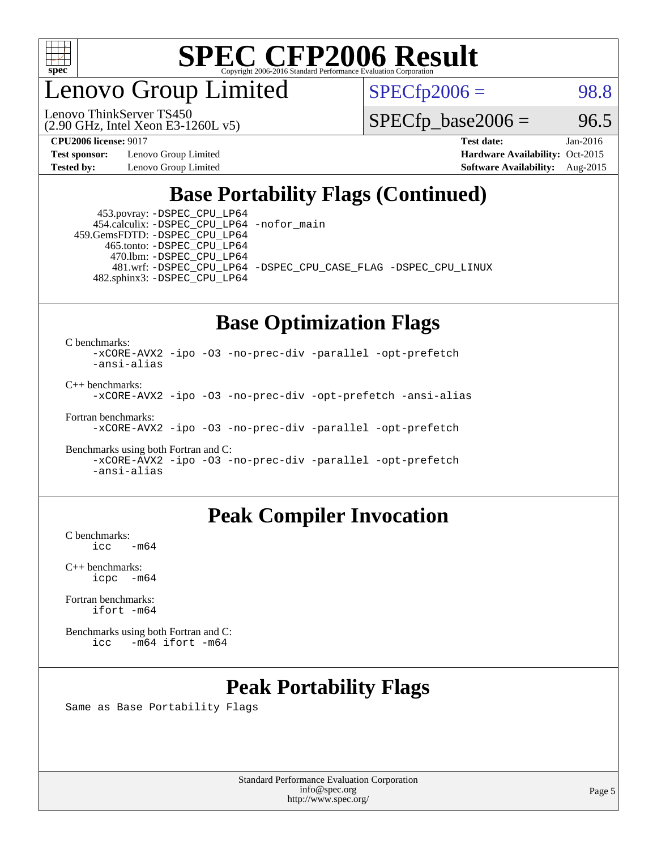

enovo Group Limited

Lenovo ThinkServer TS450

 $SPECfp2006 = 98.8$  $SPECfp2006 = 98.8$ 

(2.90 GHz, Intel Xeon E3-1260L v5)

 $SPECTp\_base2006 = 96.5$ 

**[Test sponsor:](http://www.spec.org/auto/cpu2006/Docs/result-fields.html#Testsponsor)** Lenovo Group Limited **[Hardware Availability:](http://www.spec.org/auto/cpu2006/Docs/result-fields.html#HardwareAvailability)** Oct-2015

**[CPU2006 license:](http://www.spec.org/auto/cpu2006/Docs/result-fields.html#CPU2006license)** 9017 **[Test date:](http://www.spec.org/auto/cpu2006/Docs/result-fields.html#Testdate)** Jan-2016 **[Tested by:](http://www.spec.org/auto/cpu2006/Docs/result-fields.html#Testedby)** Lenovo Group Limited **[Software Availability:](http://www.spec.org/auto/cpu2006/Docs/result-fields.html#SoftwareAvailability)** Aug-2015

## **[Base Portability Flags \(Continued\)](http://www.spec.org/auto/cpu2006/Docs/result-fields.html#BasePortabilityFlags)**

 453.povray: [-DSPEC\\_CPU\\_LP64](http://www.spec.org/cpu2006/results/res2016q1/cpu2006-20160125-38891.flags.html#suite_basePORTABILITY453_povray_DSPEC_CPU_LP64) 454.calculix: [-DSPEC\\_CPU\\_LP64](http://www.spec.org/cpu2006/results/res2016q1/cpu2006-20160125-38891.flags.html#suite_basePORTABILITY454_calculix_DSPEC_CPU_LP64) [-nofor\\_main](http://www.spec.org/cpu2006/results/res2016q1/cpu2006-20160125-38891.flags.html#user_baseLDPORTABILITY454_calculix_f-nofor_main) 459.GemsFDTD: [-DSPEC\\_CPU\\_LP64](http://www.spec.org/cpu2006/results/res2016q1/cpu2006-20160125-38891.flags.html#suite_basePORTABILITY459_GemsFDTD_DSPEC_CPU_LP64)

 465.tonto: [-DSPEC\\_CPU\\_LP64](http://www.spec.org/cpu2006/results/res2016q1/cpu2006-20160125-38891.flags.html#suite_basePORTABILITY465_tonto_DSPEC_CPU_LP64) 470.lbm: [-DSPEC\\_CPU\\_LP64](http://www.spec.org/cpu2006/results/res2016q1/cpu2006-20160125-38891.flags.html#suite_basePORTABILITY470_lbm_DSPEC_CPU_LP64) 482.sphinx3: [-DSPEC\\_CPU\\_LP64](http://www.spec.org/cpu2006/results/res2016q1/cpu2006-20160125-38891.flags.html#suite_basePORTABILITY482_sphinx3_DSPEC_CPU_LP64)

481.wrf: [-DSPEC\\_CPU\\_LP64](http://www.spec.org/cpu2006/results/res2016q1/cpu2006-20160125-38891.flags.html#suite_basePORTABILITY481_wrf_DSPEC_CPU_LP64) [-DSPEC\\_CPU\\_CASE\\_FLAG](http://www.spec.org/cpu2006/results/res2016q1/cpu2006-20160125-38891.flags.html#b481.wrf_baseCPORTABILITY_DSPEC_CPU_CASE_FLAG) [-DSPEC\\_CPU\\_LINUX](http://www.spec.org/cpu2006/results/res2016q1/cpu2006-20160125-38891.flags.html#b481.wrf_baseCPORTABILITY_DSPEC_CPU_LINUX)

### **[Base Optimization Flags](http://www.spec.org/auto/cpu2006/Docs/result-fields.html#BaseOptimizationFlags)**

[C benchmarks](http://www.spec.org/auto/cpu2006/Docs/result-fields.html#Cbenchmarks):

[-xCORE-AVX2](http://www.spec.org/cpu2006/results/res2016q1/cpu2006-20160125-38891.flags.html#user_CCbase_f-xAVX2_5f5fc0cbe2c9f62c816d3e45806c70d7) [-ipo](http://www.spec.org/cpu2006/results/res2016q1/cpu2006-20160125-38891.flags.html#user_CCbase_f-ipo) [-O3](http://www.spec.org/cpu2006/results/res2016q1/cpu2006-20160125-38891.flags.html#user_CCbase_f-O3) [-no-prec-div](http://www.spec.org/cpu2006/results/res2016q1/cpu2006-20160125-38891.flags.html#user_CCbase_f-no-prec-div) [-parallel](http://www.spec.org/cpu2006/results/res2016q1/cpu2006-20160125-38891.flags.html#user_CCbase_f-parallel) [-opt-prefetch](http://www.spec.org/cpu2006/results/res2016q1/cpu2006-20160125-38891.flags.html#user_CCbase_f-opt-prefetch) [-ansi-alias](http://www.spec.org/cpu2006/results/res2016q1/cpu2006-20160125-38891.flags.html#user_CCbase_f-ansi-alias)

[C++ benchmarks:](http://www.spec.org/auto/cpu2006/Docs/result-fields.html#CXXbenchmarks)

[-xCORE-AVX2](http://www.spec.org/cpu2006/results/res2016q1/cpu2006-20160125-38891.flags.html#user_CXXbase_f-xAVX2_5f5fc0cbe2c9f62c816d3e45806c70d7) [-ipo](http://www.spec.org/cpu2006/results/res2016q1/cpu2006-20160125-38891.flags.html#user_CXXbase_f-ipo) [-O3](http://www.spec.org/cpu2006/results/res2016q1/cpu2006-20160125-38891.flags.html#user_CXXbase_f-O3) [-no-prec-div](http://www.spec.org/cpu2006/results/res2016q1/cpu2006-20160125-38891.flags.html#user_CXXbase_f-no-prec-div) [-opt-prefetch](http://www.spec.org/cpu2006/results/res2016q1/cpu2006-20160125-38891.flags.html#user_CXXbase_f-opt-prefetch) [-ansi-alias](http://www.spec.org/cpu2006/results/res2016q1/cpu2006-20160125-38891.flags.html#user_CXXbase_f-ansi-alias)

[Fortran benchmarks](http://www.spec.org/auto/cpu2006/Docs/result-fields.html#Fortranbenchmarks):

[-xCORE-AVX2](http://www.spec.org/cpu2006/results/res2016q1/cpu2006-20160125-38891.flags.html#user_FCbase_f-xAVX2_5f5fc0cbe2c9f62c816d3e45806c70d7) [-ipo](http://www.spec.org/cpu2006/results/res2016q1/cpu2006-20160125-38891.flags.html#user_FCbase_f-ipo) [-O3](http://www.spec.org/cpu2006/results/res2016q1/cpu2006-20160125-38891.flags.html#user_FCbase_f-O3) [-no-prec-div](http://www.spec.org/cpu2006/results/res2016q1/cpu2006-20160125-38891.flags.html#user_FCbase_f-no-prec-div) [-parallel](http://www.spec.org/cpu2006/results/res2016q1/cpu2006-20160125-38891.flags.html#user_FCbase_f-parallel) [-opt-prefetch](http://www.spec.org/cpu2006/results/res2016q1/cpu2006-20160125-38891.flags.html#user_FCbase_f-opt-prefetch)

[Benchmarks using both Fortran and C](http://www.spec.org/auto/cpu2006/Docs/result-fields.html#BenchmarksusingbothFortranandC): [-xCORE-AVX2](http://www.spec.org/cpu2006/results/res2016q1/cpu2006-20160125-38891.flags.html#user_CC_FCbase_f-xAVX2_5f5fc0cbe2c9f62c816d3e45806c70d7) [-ipo](http://www.spec.org/cpu2006/results/res2016q1/cpu2006-20160125-38891.flags.html#user_CC_FCbase_f-ipo) [-O3](http://www.spec.org/cpu2006/results/res2016q1/cpu2006-20160125-38891.flags.html#user_CC_FCbase_f-O3) [-no-prec-div](http://www.spec.org/cpu2006/results/res2016q1/cpu2006-20160125-38891.flags.html#user_CC_FCbase_f-no-prec-div) [-parallel](http://www.spec.org/cpu2006/results/res2016q1/cpu2006-20160125-38891.flags.html#user_CC_FCbase_f-parallel) [-opt-prefetch](http://www.spec.org/cpu2006/results/res2016q1/cpu2006-20160125-38891.flags.html#user_CC_FCbase_f-opt-prefetch) [-ansi-alias](http://www.spec.org/cpu2006/results/res2016q1/cpu2006-20160125-38891.flags.html#user_CC_FCbase_f-ansi-alias)

## **[Peak Compiler Invocation](http://www.spec.org/auto/cpu2006/Docs/result-fields.html#PeakCompilerInvocation)**

[C benchmarks](http://www.spec.org/auto/cpu2006/Docs/result-fields.html#Cbenchmarks):  $-m64$ 

[C++ benchmarks:](http://www.spec.org/auto/cpu2006/Docs/result-fields.html#CXXbenchmarks) [icpc -m64](http://www.spec.org/cpu2006/results/res2016q1/cpu2006-20160125-38891.flags.html#user_CXXpeak_intel_icpc_64bit_bedb90c1146cab66620883ef4f41a67e)

[Fortran benchmarks](http://www.spec.org/auto/cpu2006/Docs/result-fields.html#Fortranbenchmarks): [ifort -m64](http://www.spec.org/cpu2006/results/res2016q1/cpu2006-20160125-38891.flags.html#user_FCpeak_intel_ifort_64bit_ee9d0fb25645d0210d97eb0527dcc06e)

[Benchmarks using both Fortran and C](http://www.spec.org/auto/cpu2006/Docs/result-fields.html#BenchmarksusingbothFortranandC): [icc -m64](http://www.spec.org/cpu2006/results/res2016q1/cpu2006-20160125-38891.flags.html#user_CC_FCpeak_intel_icc_64bit_0b7121f5ab7cfabee23d88897260401c) [ifort -m64](http://www.spec.org/cpu2006/results/res2016q1/cpu2006-20160125-38891.flags.html#user_CC_FCpeak_intel_ifort_64bit_ee9d0fb25645d0210d97eb0527dcc06e)

# **[Peak Portability Flags](http://www.spec.org/auto/cpu2006/Docs/result-fields.html#PeakPortabilityFlags)**

Same as Base Portability Flags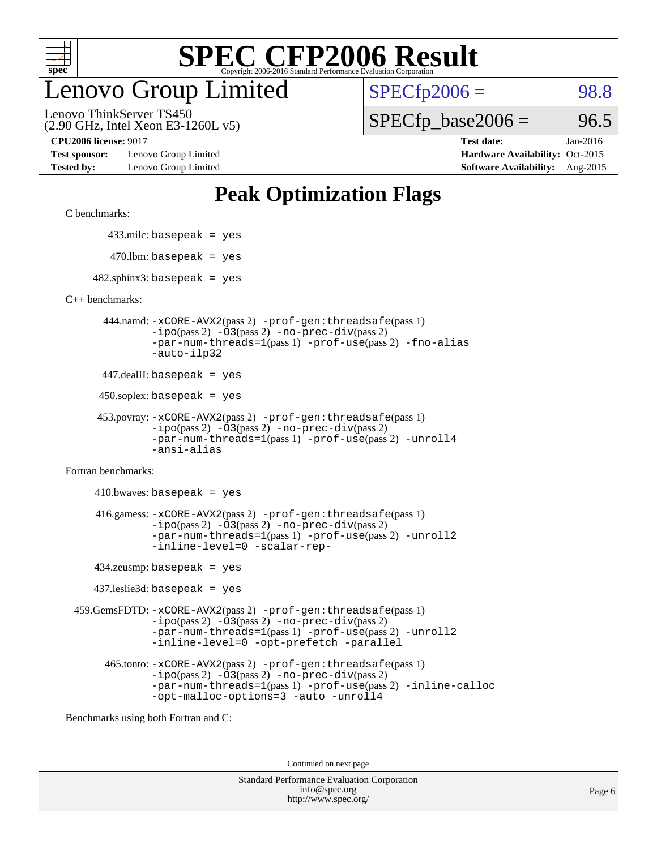

# enovo Group Limited

 $SPECTp2006 = 98.8$ 

(2.90 GHz, Intel Xeon E3-1260L v5) Lenovo ThinkServer TS450

 $SPECTp\_base2006 = 96.5$ 

**[Test sponsor:](http://www.spec.org/auto/cpu2006/Docs/result-fields.html#Testsponsor)** Lenovo Group Limited **[Hardware Availability:](http://www.spec.org/auto/cpu2006/Docs/result-fields.html#HardwareAvailability)** Oct-2015

**[CPU2006 license:](http://www.spec.org/auto/cpu2006/Docs/result-fields.html#CPU2006license)** 9017 **[Test date:](http://www.spec.org/auto/cpu2006/Docs/result-fields.html#Testdate)** Jan-2016 **[Tested by:](http://www.spec.org/auto/cpu2006/Docs/result-fields.html#Testedby)** Lenovo Group Limited **[Software Availability:](http://www.spec.org/auto/cpu2006/Docs/result-fields.html#SoftwareAvailability)** Aug-2015

# **[Peak Optimization Flags](http://www.spec.org/auto/cpu2006/Docs/result-fields.html#PeakOptimizationFlags)**

[C benchmarks](http://www.spec.org/auto/cpu2006/Docs/result-fields.html#Cbenchmarks):

433.milc: basepeak = yes

 $470.$ lbm: basepeak = yes

 $482$ .sphinx3: basepeak = yes

[C++ benchmarks:](http://www.spec.org/auto/cpu2006/Docs/result-fields.html#CXXbenchmarks)

 444.namd: [-xCORE-AVX2](http://www.spec.org/cpu2006/results/res2016q1/cpu2006-20160125-38891.flags.html#user_peakPASS2_CXXFLAGSPASS2_LDFLAGS444_namd_f-xAVX2_5f5fc0cbe2c9f62c816d3e45806c70d7)(pass 2) [-prof-gen:threadsafe](http://www.spec.org/cpu2006/results/res2016q1/cpu2006-20160125-38891.flags.html#user_peakPASS1_CXXFLAGSPASS1_LDFLAGS444_namd_prof_gen_21a26eb79f378b550acd7bec9fe4467a)(pass 1) [-ipo](http://www.spec.org/cpu2006/results/res2016q1/cpu2006-20160125-38891.flags.html#user_peakPASS2_CXXFLAGSPASS2_LDFLAGS444_namd_f-ipo)(pass 2) [-O3](http://www.spec.org/cpu2006/results/res2016q1/cpu2006-20160125-38891.flags.html#user_peakPASS2_CXXFLAGSPASS2_LDFLAGS444_namd_f-O3)(pass 2) [-no-prec-div](http://www.spec.org/cpu2006/results/res2016q1/cpu2006-20160125-38891.flags.html#user_peakPASS2_CXXFLAGSPASS2_LDFLAGS444_namd_f-no-prec-div)(pass 2) [-par-num-threads=1](http://www.spec.org/cpu2006/results/res2016q1/cpu2006-20160125-38891.flags.html#user_peakPASS1_CXXFLAGSPASS1_LDFLAGS444_namd_par_num_threads_786a6ff141b4e9e90432e998842df6c2)(pass 1) [-prof-use](http://www.spec.org/cpu2006/results/res2016q1/cpu2006-20160125-38891.flags.html#user_peakPASS2_CXXFLAGSPASS2_LDFLAGS444_namd_prof_use_bccf7792157ff70d64e32fe3e1250b55)(pass 2) [-fno-alias](http://www.spec.org/cpu2006/results/res2016q1/cpu2006-20160125-38891.flags.html#user_peakCXXOPTIMIZEOPTIMIZE444_namd_f-no-alias_694e77f6c5a51e658e82ccff53a9e63a) [-auto-ilp32](http://www.spec.org/cpu2006/results/res2016q1/cpu2006-20160125-38891.flags.html#user_peakCXXOPTIMIZE444_namd_f-auto-ilp32)

447.dealII: basepeak = yes

 $450$ .soplex: basepeak = yes

```
 453.povray: -xCORE-AVX2(pass 2) -prof-gen:threadsafe(pass 1)
-ipo(pass 2) -O3(pass 2) -no-prec-div(pass 2)
-par-num-threads=1(pass 1) -prof-use(pass 2) -unroll4
-ansi-alias
```
[Fortran benchmarks](http://www.spec.org/auto/cpu2006/Docs/result-fields.html#Fortranbenchmarks):

 $410.bwaves: basepeak = yes$  416.gamess: [-xCORE-AVX2](http://www.spec.org/cpu2006/results/res2016q1/cpu2006-20160125-38891.flags.html#user_peakPASS2_FFLAGSPASS2_LDFLAGS416_gamess_f-xAVX2_5f5fc0cbe2c9f62c816d3e45806c70d7)(pass 2) [-prof-gen:threadsafe](http://www.spec.org/cpu2006/results/res2016q1/cpu2006-20160125-38891.flags.html#user_peakPASS1_FFLAGSPASS1_LDFLAGS416_gamess_prof_gen_21a26eb79f378b550acd7bec9fe4467a)(pass 1)  $-i\text{po}(pass 2) -\text{O3}(pass 2)$  [-no-prec-div](http://www.spec.org/cpu2006/results/res2016q1/cpu2006-20160125-38891.flags.html#user_peakPASS2_FFLAGSPASS2_LDFLAGS416_gamess_f-no-prec-div)(pass 2) [-par-num-threads=1](http://www.spec.org/cpu2006/results/res2016q1/cpu2006-20160125-38891.flags.html#user_peakPASS1_FFLAGSPASS1_LDFLAGS416_gamess_par_num_threads_786a6ff141b4e9e90432e998842df6c2)(pass 1) [-prof-use](http://www.spec.org/cpu2006/results/res2016q1/cpu2006-20160125-38891.flags.html#user_peakPASS2_FFLAGSPASS2_LDFLAGS416_gamess_prof_use_bccf7792157ff70d64e32fe3e1250b55)(pass 2) [-unroll2](http://www.spec.org/cpu2006/results/res2016q1/cpu2006-20160125-38891.flags.html#user_peakOPTIMIZE416_gamess_f-unroll_784dae83bebfb236979b41d2422d7ec2) [-inline-level=0](http://www.spec.org/cpu2006/results/res2016q1/cpu2006-20160125-38891.flags.html#user_peakOPTIMIZE416_gamess_f-inline-level_318d07a09274ad25e8d15dbfaa68ba50) [-scalar-rep-](http://www.spec.org/cpu2006/results/res2016q1/cpu2006-20160125-38891.flags.html#user_peakOPTIMIZE416_gamess_f-disablescalarrep_abbcad04450fb118e4809c81d83c8a1d)

434.zeusmp: basepeak = yes

437.leslie3d: basepeak = yes

 459.GemsFDTD: [-xCORE-AVX2](http://www.spec.org/cpu2006/results/res2016q1/cpu2006-20160125-38891.flags.html#user_peakPASS2_FFLAGSPASS2_LDFLAGS459_GemsFDTD_f-xAVX2_5f5fc0cbe2c9f62c816d3e45806c70d7)(pass 2) [-prof-gen:threadsafe](http://www.spec.org/cpu2006/results/res2016q1/cpu2006-20160125-38891.flags.html#user_peakPASS1_FFLAGSPASS1_LDFLAGS459_GemsFDTD_prof_gen_21a26eb79f378b550acd7bec9fe4467a)(pass 1)  $-i\text{po}(pass 2) -03(pass 2) -no-prec-div(pass 2)$  $-i\text{po}(pass 2) -03(pass 2) -no-prec-div(pass 2)$  $-i\text{po}(pass 2) -03(pass 2) -no-prec-div(pass 2)$ [-par-num-threads=1](http://www.spec.org/cpu2006/results/res2016q1/cpu2006-20160125-38891.flags.html#user_peakPASS1_FFLAGSPASS1_LDFLAGS459_GemsFDTD_par_num_threads_786a6ff141b4e9e90432e998842df6c2)(pass 1) [-prof-use](http://www.spec.org/cpu2006/results/res2016q1/cpu2006-20160125-38891.flags.html#user_peakPASS2_FFLAGSPASS2_LDFLAGS459_GemsFDTD_prof_use_bccf7792157ff70d64e32fe3e1250b55)(pass 2) [-unroll2](http://www.spec.org/cpu2006/results/res2016q1/cpu2006-20160125-38891.flags.html#user_peakOPTIMIZE459_GemsFDTD_f-unroll_784dae83bebfb236979b41d2422d7ec2) [-inline-level=0](http://www.spec.org/cpu2006/results/res2016q1/cpu2006-20160125-38891.flags.html#user_peakOPTIMIZE459_GemsFDTD_f-inline-level_318d07a09274ad25e8d15dbfaa68ba50) [-opt-prefetch](http://www.spec.org/cpu2006/results/res2016q1/cpu2006-20160125-38891.flags.html#user_peakOPTIMIZE459_GemsFDTD_f-opt-prefetch) [-parallel](http://www.spec.org/cpu2006/results/res2016q1/cpu2006-20160125-38891.flags.html#user_peakOPTIMIZE459_GemsFDTD_f-parallel)

 465.tonto: [-xCORE-AVX2](http://www.spec.org/cpu2006/results/res2016q1/cpu2006-20160125-38891.flags.html#user_peakPASS2_FFLAGSPASS2_LDFLAGS465_tonto_f-xAVX2_5f5fc0cbe2c9f62c816d3e45806c70d7)(pass 2) [-prof-gen:threadsafe](http://www.spec.org/cpu2006/results/res2016q1/cpu2006-20160125-38891.flags.html#user_peakPASS1_FFLAGSPASS1_LDFLAGS465_tonto_prof_gen_21a26eb79f378b550acd7bec9fe4467a)(pass 1)  $-i\text{po}(pass 2)$   $-03(pass 2)$   $-no-prec-div(pass 2)$  $-no-prec-div(pass 2)$ [-par-num-threads=1](http://www.spec.org/cpu2006/results/res2016q1/cpu2006-20160125-38891.flags.html#user_peakPASS1_FFLAGSPASS1_LDFLAGS465_tonto_par_num_threads_786a6ff141b4e9e90432e998842df6c2)(pass 1) [-prof-use](http://www.spec.org/cpu2006/results/res2016q1/cpu2006-20160125-38891.flags.html#user_peakPASS2_FFLAGSPASS2_LDFLAGS465_tonto_prof_use_bccf7792157ff70d64e32fe3e1250b55)(pass 2) [-inline-calloc](http://www.spec.org/cpu2006/results/res2016q1/cpu2006-20160125-38891.flags.html#user_peakOPTIMIZE465_tonto_f-inline-calloc) [-opt-malloc-options=3](http://www.spec.org/cpu2006/results/res2016q1/cpu2006-20160125-38891.flags.html#user_peakOPTIMIZE465_tonto_f-opt-malloc-options_13ab9b803cf986b4ee62f0a5998c2238) [-auto](http://www.spec.org/cpu2006/results/res2016q1/cpu2006-20160125-38891.flags.html#user_peakOPTIMIZE465_tonto_f-auto) [-unroll4](http://www.spec.org/cpu2006/results/res2016q1/cpu2006-20160125-38891.flags.html#user_peakOPTIMIZE465_tonto_f-unroll_4e5e4ed65b7fd20bdcd365bec371b81f)

[Benchmarks using both Fortran and C](http://www.spec.org/auto/cpu2006/Docs/result-fields.html#BenchmarksusingbothFortranandC):

Continued on next page